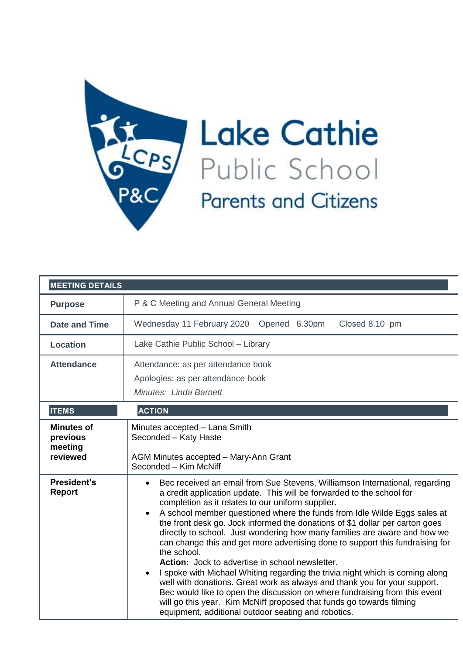

## **Lake Cathie** Public School **Parents and Citizens**

| <b>MEETING DETAILS</b>                               |                                                                                                                                                                                                                                                                                                                                                                                                                                                                                                                                                                                                                                                                                                                                                                                                                                                                                                                                                                                                                         |
|------------------------------------------------------|-------------------------------------------------------------------------------------------------------------------------------------------------------------------------------------------------------------------------------------------------------------------------------------------------------------------------------------------------------------------------------------------------------------------------------------------------------------------------------------------------------------------------------------------------------------------------------------------------------------------------------------------------------------------------------------------------------------------------------------------------------------------------------------------------------------------------------------------------------------------------------------------------------------------------------------------------------------------------------------------------------------------------|
| <b>Purpose</b>                                       | P & C Meeting and Annual General Meeting                                                                                                                                                                                                                                                                                                                                                                                                                                                                                                                                                                                                                                                                                                                                                                                                                                                                                                                                                                                |
| <b>Date and Time</b>                                 | Wednesday 11 February 2020 Opened 6.30pm<br>Closed 8.10 pm                                                                                                                                                                                                                                                                                                                                                                                                                                                                                                                                                                                                                                                                                                                                                                                                                                                                                                                                                              |
| <b>Location</b>                                      | Lake Cathie Public School - Library                                                                                                                                                                                                                                                                                                                                                                                                                                                                                                                                                                                                                                                                                                                                                                                                                                                                                                                                                                                     |
| <b>Attendance</b>                                    | Attendance: as per attendance book<br>Apologies: as per attendance book<br>Minutes: Linda Barnett                                                                                                                                                                                                                                                                                                                                                                                                                                                                                                                                                                                                                                                                                                                                                                                                                                                                                                                       |
| <b>ITEMS</b>                                         | <b>ACTION</b>                                                                                                                                                                                                                                                                                                                                                                                                                                                                                                                                                                                                                                                                                                                                                                                                                                                                                                                                                                                                           |
| <b>Minutes of</b><br>previous<br>meeting<br>reviewed | Minutes accepted - Lana Smith<br>Seconded - Katy Haste<br>AGM Minutes accepted - Mary-Ann Grant<br>Seconded - Kim McNiff                                                                                                                                                                                                                                                                                                                                                                                                                                                                                                                                                                                                                                                                                                                                                                                                                                                                                                |
| President's<br><b>Report</b>                         | Bec received an email from Sue Stevens, Williamson International, regarding<br>$\bullet$<br>a credit application update. This will be forwarded to the school for<br>completion as it relates to our uniform supplier.<br>A school member questioned where the funds from Idle Wilde Eggs sales at<br>$\bullet$<br>the front desk go. Jock informed the donations of \$1 dollar per carton goes<br>directly to school. Just wondering how many families are aware and how we<br>can change this and get more advertising done to support this fundraising for<br>the school.<br>Action: Jock to advertise in school newsletter.<br>I spoke with Michael Whiting regarding the trivia night which is coming along<br>$\bullet$<br>well with donations. Great work as always and thank you for your support.<br>Bec would like to open the discussion on where fundraising from this event<br>will go this year. Kim McNiff proposed that funds go towards filming<br>equipment, additional outdoor seating and robotics. |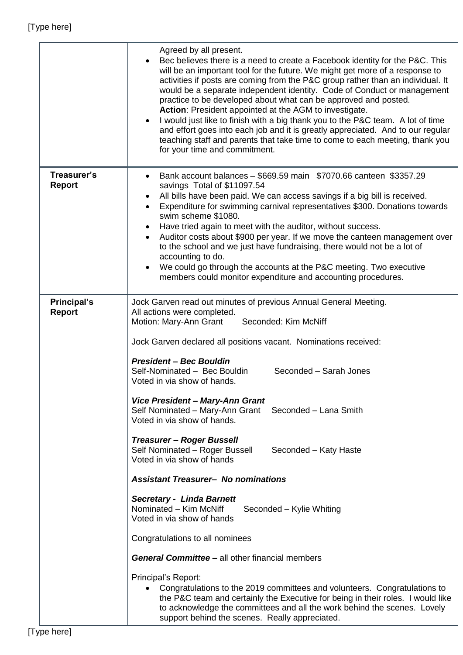|                              | Agreed by all present.<br>Bec believes there is a need to create a Facebook identity for the P&C. This<br>will be an important tool for the future. We might get more of a response to<br>activities if posts are coming from the P&C group rather than an individual. It<br>would be a separate independent identity. Code of Conduct or management<br>practice to be developed about what can be approved and posted.<br>Action: President appointed at the AGM to investigate.<br>I would just like to finish with a big thank you to the P&C team. A lot of time<br>$\bullet$<br>and effort goes into each job and it is greatly appreciated. And to our regular<br>teaching staff and parents that take time to come to each meeting, thank you<br>for your time and commitment.                                                                                                                                                                                                                                                                                                                                                                                                                     |
|------------------------------|-----------------------------------------------------------------------------------------------------------------------------------------------------------------------------------------------------------------------------------------------------------------------------------------------------------------------------------------------------------------------------------------------------------------------------------------------------------------------------------------------------------------------------------------------------------------------------------------------------------------------------------------------------------------------------------------------------------------------------------------------------------------------------------------------------------------------------------------------------------------------------------------------------------------------------------------------------------------------------------------------------------------------------------------------------------------------------------------------------------------------------------------------------------------------------------------------------------|
| Treasurer's<br><b>Report</b> | Bank account balances - \$669.59 main \$7070.66 canteen \$3357.29<br>$\bullet$<br>savings Total of \$11097.54<br>All bills have been paid. We can access savings if a big bill is received.<br>$\bullet$<br>Expenditure for swimming carnival representatives \$300. Donations towards<br>$\bullet$<br>swim scheme \$1080.<br>Have tried again to meet with the auditor, without success.<br>$\bullet$<br>Auditor costs about \$900 per year. If we move the canteen management over<br>to the school and we just have fundraising, there would not be a lot of<br>accounting to do.<br>We could go through the accounts at the P&C meeting. Two executive<br>members could monitor expenditure and accounting procedures.                                                                                                                                                                                                                                                                                                                                                                                                                                                                                |
| Principal's<br><b>Report</b> | Jock Garven read out minutes of previous Annual General Meeting.<br>All actions were completed.<br>Motion: Mary-Ann Grant<br>Seconded: Kim McNiff<br>Jock Garven declared all positions vacant. Nominations received:<br><b>President - Bec Bouldin</b><br>Self-Nominated - Bec Bouldin<br>Seconded - Sarah Jones<br>Voted in via show of hands.<br>Vice President - Mary-Ann Grant<br>Self Nominated - Mary-Ann Grant<br>Seconded - Lana Smith<br>Voted in via show of hands.<br>Treasurer - Roger Bussell<br>Self Nominated - Roger Bussell<br>Seconded – Katy Haste<br>Voted in via show of hands<br><b>Assistant Treasurer- No nominations</b><br><b>Secretary - Linda Barnett</b><br>Nominated - Kim McNiff<br>Seconded - Kylie Whiting<br>Voted in via show of hands<br>Congratulations to all nominees<br><b>General Committee – all other financial members</b><br>Principal's Report:<br>Congratulations to the 2019 committees and volunteers. Congratulations to<br>$\bullet$<br>the P&C team and certainly the Executive for being in their roles. I would like<br>to acknowledge the committees and all the work behind the scenes. Lovely<br>support behind the scenes. Really appreciated. |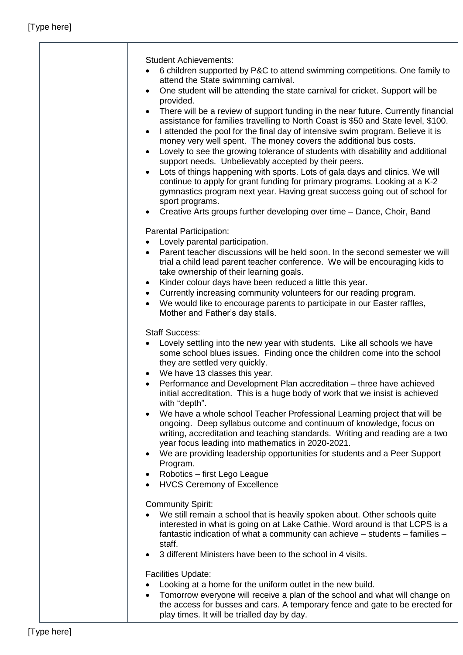| <b>Student Achievements:</b><br>6 children supported by P&C to attend swimming competitions. One family to<br>attend the State swimming carnival.<br>One student will be attending the state carnival for cricket. Support will be<br>$\bullet$<br>provided.<br>There will be a review of support funding in the near future. Currently financial<br>$\bullet$<br>assistance for families travelling to North Coast is \$50 and State level, \$100.<br>I attended the pool for the final day of intensive swim program. Believe it is<br>$\bullet$<br>money very well spent. The money covers the additional bus costs.<br>Lovely to see the growing tolerance of students with disability and additional<br>$\bullet$<br>support needs. Unbelievably accepted by their peers.<br>Lots of things happening with sports. Lots of gala days and clinics. We will<br>$\bullet$<br>continue to apply for grant funding for primary programs. Looking at a K-2<br>gymnastics program next year. Having great success going out of school for<br>sport programs.<br>Creative Arts groups further developing over time - Dance, Choir, Band<br>$\bullet$ |
|---------------------------------------------------------------------------------------------------------------------------------------------------------------------------------------------------------------------------------------------------------------------------------------------------------------------------------------------------------------------------------------------------------------------------------------------------------------------------------------------------------------------------------------------------------------------------------------------------------------------------------------------------------------------------------------------------------------------------------------------------------------------------------------------------------------------------------------------------------------------------------------------------------------------------------------------------------------------------------------------------------------------------------------------------------------------------------------------------------------------------------------------------|
|                                                                                                                                                                                                                                                                                                                                                                                                                                                                                                                                                                                                                                                                                                                                                                                                                                                                                                                                                                                                                                                                                                                                                   |
| Parental Participation:                                                                                                                                                                                                                                                                                                                                                                                                                                                                                                                                                                                                                                                                                                                                                                                                                                                                                                                                                                                                                                                                                                                           |
| Lovely parental participation.<br>Parent teacher discussions will be held soon. In the second semester we will<br>trial a child lead parent teacher conference. We will be encouraging kids to<br>take ownership of their learning goals.<br>Kinder colour days have been reduced a little this year.<br>$\bullet$<br>Currently increasing community volunteers for our reading program.<br>$\bullet$<br>We would like to encourage parents to participate in our Easter raffles,<br>Mother and Father's day stalls.                                                                                                                                                                                                                                                                                                                                                                                                                                                                                                                                                                                                                              |
|                                                                                                                                                                                                                                                                                                                                                                                                                                                                                                                                                                                                                                                                                                                                                                                                                                                                                                                                                                                                                                                                                                                                                   |
|                                                                                                                                                                                                                                                                                                                                                                                                                                                                                                                                                                                                                                                                                                                                                                                                                                                                                                                                                                                                                                                                                                                                                   |
| <b>Staff Success:</b>                                                                                                                                                                                                                                                                                                                                                                                                                                                                                                                                                                                                                                                                                                                                                                                                                                                                                                                                                                                                                                                                                                                             |
| Lovely settling into the new year with students. Like all schools we have<br>some school blues issues. Finding once the children come into the school<br>they are settled very quickly.                                                                                                                                                                                                                                                                                                                                                                                                                                                                                                                                                                                                                                                                                                                                                                                                                                                                                                                                                           |
| We have 13 classes this year.<br>٠                                                                                                                                                                                                                                                                                                                                                                                                                                                                                                                                                                                                                                                                                                                                                                                                                                                                                                                                                                                                                                                                                                                |
| Performance and Development Plan accreditation - three have achieved<br>$\bullet$<br>initial accreditation. This is a huge body of work that we insist is achieved<br>with "depth".                                                                                                                                                                                                                                                                                                                                                                                                                                                                                                                                                                                                                                                                                                                                                                                                                                                                                                                                                               |
| We have a whole school Teacher Professional Learning project that will be<br>$\bullet$<br>ongoing. Deep syllabus outcome and continuum of knowledge, focus on<br>writing, accreditation and teaching standards. Writing and reading are a two<br>year focus leading into mathematics in 2020-2021.                                                                                                                                                                                                                                                                                                                                                                                                                                                                                                                                                                                                                                                                                                                                                                                                                                                |
| We are providing leadership opportunities for students and a Peer Support<br>$\bullet$                                                                                                                                                                                                                                                                                                                                                                                                                                                                                                                                                                                                                                                                                                                                                                                                                                                                                                                                                                                                                                                            |
| Program.                                                                                                                                                                                                                                                                                                                                                                                                                                                                                                                                                                                                                                                                                                                                                                                                                                                                                                                                                                                                                                                                                                                                          |
| Robotics - first Lego League<br>٠                                                                                                                                                                                                                                                                                                                                                                                                                                                                                                                                                                                                                                                                                                                                                                                                                                                                                                                                                                                                                                                                                                                 |
| <b>HVCS Ceremony of Excellence</b>                                                                                                                                                                                                                                                                                                                                                                                                                                                                                                                                                                                                                                                                                                                                                                                                                                                                                                                                                                                                                                                                                                                |
|                                                                                                                                                                                                                                                                                                                                                                                                                                                                                                                                                                                                                                                                                                                                                                                                                                                                                                                                                                                                                                                                                                                                                   |
| <b>Community Spirit:</b>                                                                                                                                                                                                                                                                                                                                                                                                                                                                                                                                                                                                                                                                                                                                                                                                                                                                                                                                                                                                                                                                                                                          |
| We still remain a school that is heavily spoken about. Other schools quite<br>interested in what is going on at Lake Cathie. Word around is that LCPS is a<br>fantastic indication of what a community can achieve – students – families –<br>staff.                                                                                                                                                                                                                                                                                                                                                                                                                                                                                                                                                                                                                                                                                                                                                                                                                                                                                              |
| 3 different Ministers have been to the school in 4 visits.<br>$\bullet$                                                                                                                                                                                                                                                                                                                                                                                                                                                                                                                                                                                                                                                                                                                                                                                                                                                                                                                                                                                                                                                                           |
|                                                                                                                                                                                                                                                                                                                                                                                                                                                                                                                                                                                                                                                                                                                                                                                                                                                                                                                                                                                                                                                                                                                                                   |
| <b>Facilities Update:</b>                                                                                                                                                                                                                                                                                                                                                                                                                                                                                                                                                                                                                                                                                                                                                                                                                                                                                                                                                                                                                                                                                                                         |
| Looking at a home for the uniform outlet in the new build.                                                                                                                                                                                                                                                                                                                                                                                                                                                                                                                                                                                                                                                                                                                                                                                                                                                                                                                                                                                                                                                                                        |
| Tomorrow everyone will receive a plan of the school and what will change on<br>$\bullet$                                                                                                                                                                                                                                                                                                                                                                                                                                                                                                                                                                                                                                                                                                                                                                                                                                                                                                                                                                                                                                                          |
| the access for busses and cars. A temporary fence and gate to be erected for                                                                                                                                                                                                                                                                                                                                                                                                                                                                                                                                                                                                                                                                                                                                                                                                                                                                                                                                                                                                                                                                      |
| play times. It will be trialled day by day.                                                                                                                                                                                                                                                                                                                                                                                                                                                                                                                                                                                                                                                                                                                                                                                                                                                                                                                                                                                                                                                                                                       |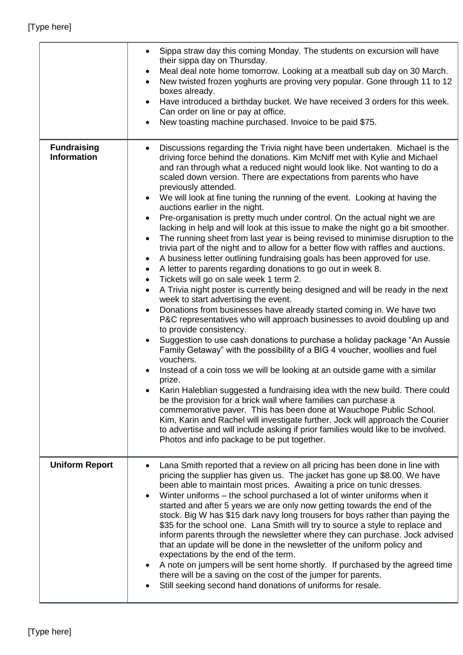|                                          | Sippa straw day this coming Monday. The students on excursion will have<br>$\bullet$<br>their sippa day on Thursday.<br>Meal deal note home tomorrow. Looking at a meatball sub day on 30 March.<br>$\bullet$<br>New twisted frozen yoghurts are proving very popular. Gone through 11 to 12<br>$\bullet$<br>boxes already.<br>Have introduced a birthday bucket. We have received 3 orders for this week.<br>Can order on line or pay at office.<br>New toasting machine purchased. Invoice to be paid \$75.                                                                                                                                                                                                                                                                                                                                                                                                                                                                                                                                                                                                                                                                                                                                                                                                                                                                                                                                                                                                                                                                                                                                                                                                                                                                                                                                                                                                                                                                                                                                                                                       |
|------------------------------------------|-----------------------------------------------------------------------------------------------------------------------------------------------------------------------------------------------------------------------------------------------------------------------------------------------------------------------------------------------------------------------------------------------------------------------------------------------------------------------------------------------------------------------------------------------------------------------------------------------------------------------------------------------------------------------------------------------------------------------------------------------------------------------------------------------------------------------------------------------------------------------------------------------------------------------------------------------------------------------------------------------------------------------------------------------------------------------------------------------------------------------------------------------------------------------------------------------------------------------------------------------------------------------------------------------------------------------------------------------------------------------------------------------------------------------------------------------------------------------------------------------------------------------------------------------------------------------------------------------------------------------------------------------------------------------------------------------------------------------------------------------------------------------------------------------------------------------------------------------------------------------------------------------------------------------------------------------------------------------------------------------------------------------------------------------------------------------------------------------------|
| <b>Fundraising</b><br><b>Information</b> | Discussions regarding the Trivia night have been undertaken. Michael is the<br>$\bullet$<br>driving force behind the donations. Kim McNiff met with Kylie and Michael<br>and ran through what a reduced night would look like. Not wanting to do a<br>scaled down version. There are expectations from parents who have<br>previously attended.<br>We will look at fine tuning the running of the event. Looking at having the<br>$\bullet$<br>auctions earlier in the night.<br>Pre-organisation is pretty much under control. On the actual night we are<br>lacking in help and will look at this issue to make the night go a bit smoother.<br>The running sheet from last year is being revised to minimise disruption to the<br>$\bullet$<br>trivia part of the night and to allow for a better flow with raffles and auctions.<br>A business letter outlining fundraising goals has been approved for use.<br>٠<br>A letter to parents regarding donations to go out in week 8.<br>$\bullet$<br>Tickets will go on sale week 1 term 2.<br>$\bullet$<br>A Trivia night poster is currently being designed and will be ready in the next<br>$\bullet$<br>week to start advertising the event.<br>Donations from businesses have already started coming in. We have two<br>P&C representatives who will approach businesses to avoid doubling up and<br>to provide consistency.<br>Suggestion to use cash donations to purchase a holiday package "An Aussie"<br>Family Getaway" with the possibility of a BIG 4 voucher, woollies and fuel<br>vouchers.<br>Instead of a coin toss we will be looking at an outside game with a similar<br>prize.<br>Karin Haleblian suggested a fundraising idea with the new build. There could<br>be the provision for a brick wall where families can purchase a<br>commemorative paver. This has been done at Wauchope Public School.<br>Kim, Karin and Rachel will investigate further. Jock will approach the Courier<br>to advertise and will include asking if prior families would like to be involved.<br>Photos and info package to be put together. |
| <b>Uniform Report</b>                    | Lana Smith reported that a review on all pricing has been done in line with<br>pricing the supplier has given us. The jacket has gone up \$8.00. We have<br>been able to maintain most prices. Awaiting a price on tunic dresses.<br>Winter uniforms – the school purchased a lot of winter uniforms when it<br>started and after 5 years we are only now getting towards the end of the<br>stock. Big W has \$15 dark navy long trousers for boys rather than paying the<br>\$35 for the school one. Lana Smith will try to source a style to replace and<br>inform parents through the newsletter where they can purchase. Jock advised<br>that an update will be done in the newsletter of the uniform policy and<br>expectations by the end of the term.<br>A note on jumpers will be sent home shortly. If purchased by the agreed time<br>there will be a saving on the cost of the jumper for parents.<br>Still seeking second hand donations of uniforms for resale.                                                                                                                                                                                                                                                                                                                                                                                                                                                                                                                                                                                                                                                                                                                                                                                                                                                                                                                                                                                                                                                                                                                        |